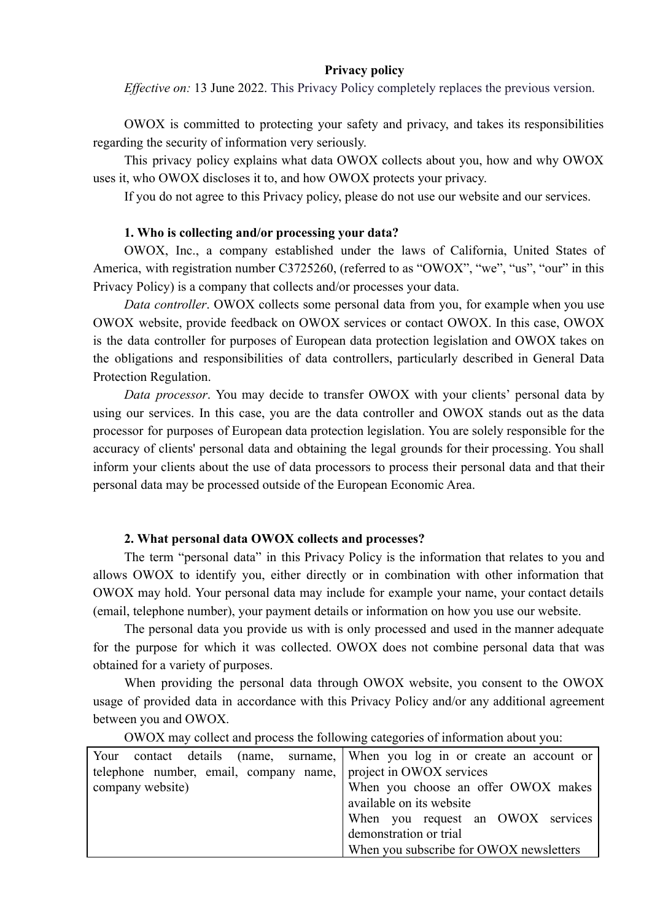## **Privacy policy**

*Effective on:* 13 June 2022. This Privacy Policy completely replaces the previous version.

OWOX is committed to protecting your safety and privacy, and takes its responsibilities regarding the security of information very seriously.

This privacy policy explains what data OWOX collects about you, how and why OWOX uses it, who OWOX discloses it to, and how OWOX protects your privacy.

If you do not agree to this Privacy policy, please do not use our website and our services.

## **1. Who is collecting and/or processing your data?**

OWOX, Inc., a company established under the laws of California, United States of America, with registration number C3725260, (referred to as "OWOX", "we", "us", "our" in this Privacy Policy) is a company that collects and/or processes your data.

*Data controller*. OWOX collects some personal data from you, for example when you use OWOX website, provide feedback on OWOX services or contact OWOX. In this case, OWOX is the data controller for purposes of European data protection legislation and OWOX takes on the obligations and responsibilities of data controllers, particularly described in General Data Protection Regulation.

*Data processor*. You may decide to transfer OWOX with your clients' personal data by using our services. In this case, you are the data controller and OWOX stands out as the data processor for purposes of European data protection legislation. You are solely responsible for the accuracy of clients' personal data and obtaining the legal grounds for their processing. You shall inform your clients about the use of data processors to process their personal data and that their personal data may be processed outside of the European Economic Area.

## **2. What personal data OWOX collects and processes?**

The term "personal data" in this Privacy Policy is the information that relates to you and allows OWOX to identify you, either directly or in combination with other information that OWOX may hold. Your personal data may include for example your name, your contact details (email, telephone number), your payment details or information on how you use our website.

The personal data you provide us with is only processed and used in the manner adequate for the purpose for which it was collected. OWOX does not combine personal data that was obtained for a variety of purposes.

When providing the personal data through OWOX website, you consent to the OWOX usage of provided data in accordance with this Privacy Policy and/or any additional agreement between you and OWOX.

|                                                                 | O WOA may concer and process the following categories of information about you. |
|-----------------------------------------------------------------|---------------------------------------------------------------------------------|
|                                                                 | Your contact details (name, surname, When you log in or create an account or    |
| telephone number, email, company name, project in OWOX services |                                                                                 |
| company website)                                                | When you choose an offer OWOX makes                                             |
|                                                                 | available on its website                                                        |
|                                                                 | When you request an OWOX services                                               |

demonstration or trial

When you subscribe for OWOX newsletters

OWOX may collect and process the following categories of information about you: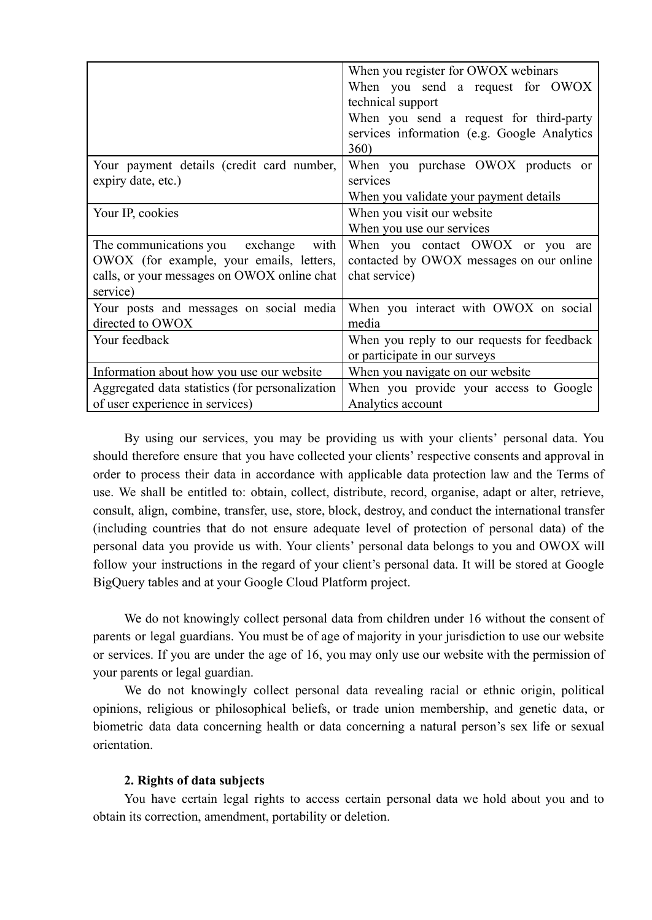|                                                 | When you register for OWOX webinars         |
|-------------------------------------------------|---------------------------------------------|
|                                                 | When you send a request for OWOX            |
|                                                 | technical support                           |
|                                                 | When you send a request for third-party     |
|                                                 | services information (e.g. Google Analytics |
|                                                 | 360)                                        |
| Your payment details (credit card number,       | When you purchase OWOX products or          |
| expiry date, etc.)                              | services                                    |
|                                                 | When you validate your payment details      |
| Your IP, cookies                                | When you visit our website                  |
|                                                 | When you use our services                   |
| The communications you exchange<br>with         | When you contact OWOX or you are            |
| OWOX (for example, your emails, letters,        | contacted by OWOX messages on our online    |
| calls, or your messages on OWOX online chat     | chat service)                               |
| service)                                        |                                             |
| Your posts and messages on social media         | When you interact with OWOX on social       |
| directed to OWOX                                | media                                       |
| Your feedback                                   | When you reply to our requests for feedback |
|                                                 | or participate in our surveys               |
| Information about how you use our website       | When you navigate on our website            |
| Aggregated data statistics (for personalization | When you provide your access to Google      |
| of user experience in services)                 | Analytics account                           |

By using our services, you may be providing us with your clients' personal data. You should therefore ensure that you have collected your clients' respective consents and approval in order to process their data in accordance with applicable data protection law and the Terms of use. We shall be entitled to: obtain, collect, distribute, record, organise, adapt or alter, retrieve, consult, align, combine, transfer, use, store, block, destroy, and conduct the international transfer (including countries that do not ensure adequate level of protection of personal data) of the personal data you provide us with. Your clients' personal data belongs to you and OWOX will follow your instructions in the regard of your client's personal data. It will be stored at Google BigQuery tables and at your Google Cloud Platform project.

We do not knowingly collect personal data from children under 16 without the consent of parents or legal guardians. You must be of age of majority in your jurisdiction to use our website or services. If you are under the age of 16, you may only use our website with the permission of your parents or legal guardian.

We do not knowingly collect personal data revealing racial or ethnic origin, political opinions, religious or philosophical beliefs, or trade union membership, and genetic data, or biometric data data concerning health or data concerning a natural person's sex life or sexual orientation.

## **2. Rights of data subjects**

You have certain legal rights to access certain personal data we hold about you and to obtain its correction, amendment, portability or deletion.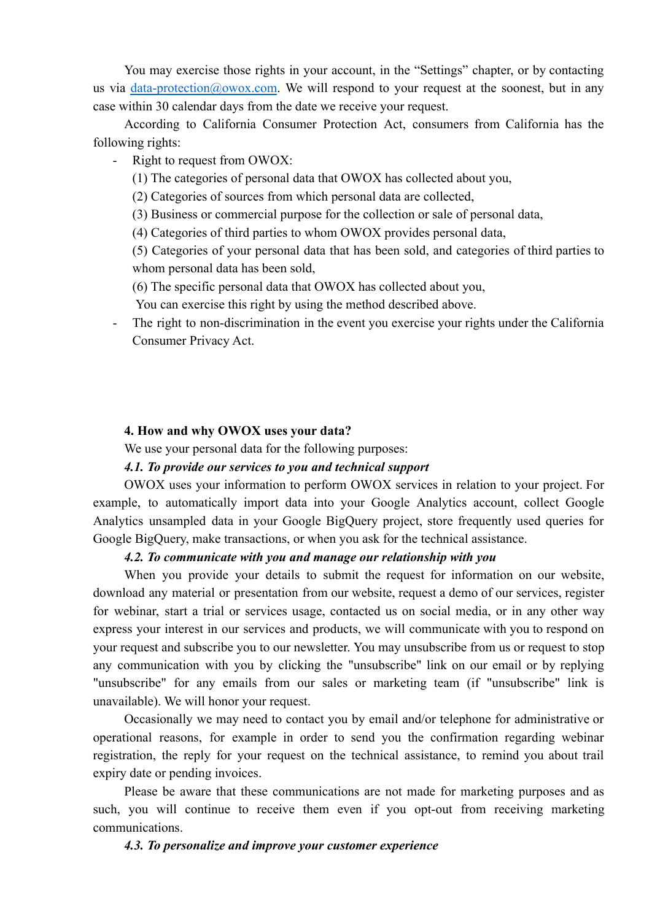You may exercise those rights in your account, in the "Settings" chapter, or by contacting us via [data-protection@owox.com](mailto:data.protection@owox.com). We will respond to your request at the soonest, but in any case within 30 calendar days from the date we receive your request.

According to California Consumer Protection Act, consumers from California has the following rights:

- Right to request from OWOX:
	- (1) The categories of personal data that OWOX has collected about you,
	- (2) Categories of sources from which personal data are collected,
	- (3) Business or commercial purpose for the collection or sale of personal data,
	- (4) Categories of third parties to whom OWOX provides personal data,

(5) Categories of your personal data that has been sold, and categories of third parties to whom personal data has been sold,

- (6) The specific personal data that OWOX has collected about you,
- You can exercise this right by using the method described above.
- The right to non-discrimination in the event you exercise your rights under the California Consumer Privacy Act.

## **4. How and why OWOX uses your data?**

We use your personal data for the following purposes:

## *4.1. To provide our services to you and technical support*

OWOX uses your information to perform OWOX services in relation to your project. For example, to automatically import data into your Google Analytics account, collect Google Analytics unsampled data in your Google BigQuery project, store frequently used queries for Google BigQuery, make transactions, or when you ask for the technical assistance.

# *4.2. To communicate with you and manage our relationship with you*

When you provide your details to submit the request for information on our website, download any material or presentation from our website, request a demo of our services, register for webinar, start a trial or services usage, contacted us on social media, or in any other way express your interest in our services and products, we will communicate with you to respond on your request and subscribe you to our newsletter. You may unsubscribe from us or request to stop any communication with you by clicking the "unsubscribe" link on our email or by replying "unsubscribe" for any emails from our sales or marketing team (if "unsubscribe" link is unavailable). We will honor your request.

Occasionally we may need to contact you by email and/or telephone for administrative or operational reasons, for example in order to send you the confirmation regarding webinar registration, the reply for your request on the technical assistance, to remind you about trail expiry date or pending invoices.

Please be aware that these communications are not made for marketing purposes and as such, you will continue to receive them even if you opt-out from receiving marketing communications.

## *4.3. To personalize and improve your customer experience*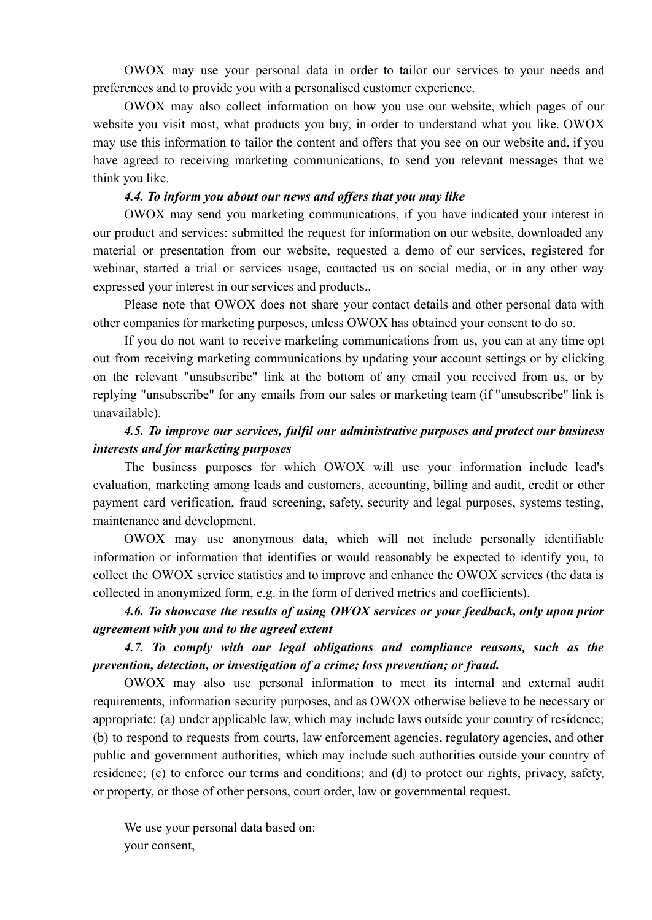OWOX may use your personal data in order to tailor our services to your needs and preferences and to provide you with a personalised customer experience.

OWOX may also collect information on how you use our website, which pages of our website you visit most, what products you buy, in order to understand what you like. OWOX may use this information to tailor the content and offers that you see on our website and, if you have agreed to receiving marketing communications, to send you relevant messages that we think you like.

## *4.4. To inform you about our news and offers that you may like*

OWOX may send you marketing communications, if you have indicated your interest in our product and services: submitted the request for information on our website, downloaded any material or presentation from our website, requested a demo of our services, registered for webinar, started a trial or services usage, contacted us on social media, or in any other way expressed your interest in our services and products..

Please note that OWOX does not share your contact details and other personal data with other companies for marketing purposes, unless OWOX has obtained your consent to do so.

If you do not want to receive marketing communications from us, you can at any time opt out from receiving marketing communications by updating your account settings or by clicking on the relevant "unsubscribe" link at the bottom of any email you received from us, or by replying "unsubscribe" for any emails from our sales or marketing team (if "unsubscribe" link is unavailable).

# *4.5. To improve our services, fulfil our administrative purposes and protect our business interests and for marketing purposes*

The business purposes for which OWOX will use your information include lead's evaluation, marketing among leads and customers, accounting, billing and audit, credit or other payment card verification, fraud screening, safety, security and legal purposes, systems testing, maintenance and development.

OWOX may use anonymous data, which will not include personally identifiable information or information that identifies or would reasonably be expected to identify you, to collect the OWOX service statistics and to improve and enhance the OWOX services (the data is collected in anonymized form, e.g. in the form of derived metrics and coefficients).

# *4.6. To showcase the results of using OWOX services or your feedback, only upon prior agreement with you and to the agreed extent*

# *4.7. To comply with our legal obligations and compliance reasons, such as the prevention, detection, or investigation of a crime; loss prevention; or fraud.*

OWOX may also use personal information to meet its internal and external audit requirements, information security purposes, and as OWOX otherwise believe to be necessary or appropriate: (a) under applicable law, which may include laws outside your country of residence; (b) to respond to requests from courts, law enforcement agencies, regulatory agencies, and other public and government authorities, which may include such authorities outside your country of residence; (c) to enforce our terms and conditions; and (d) to protect our rights, privacy, safety, or property, or those of other persons, court order, law or governmental request.

We use your personal data based on: your consent,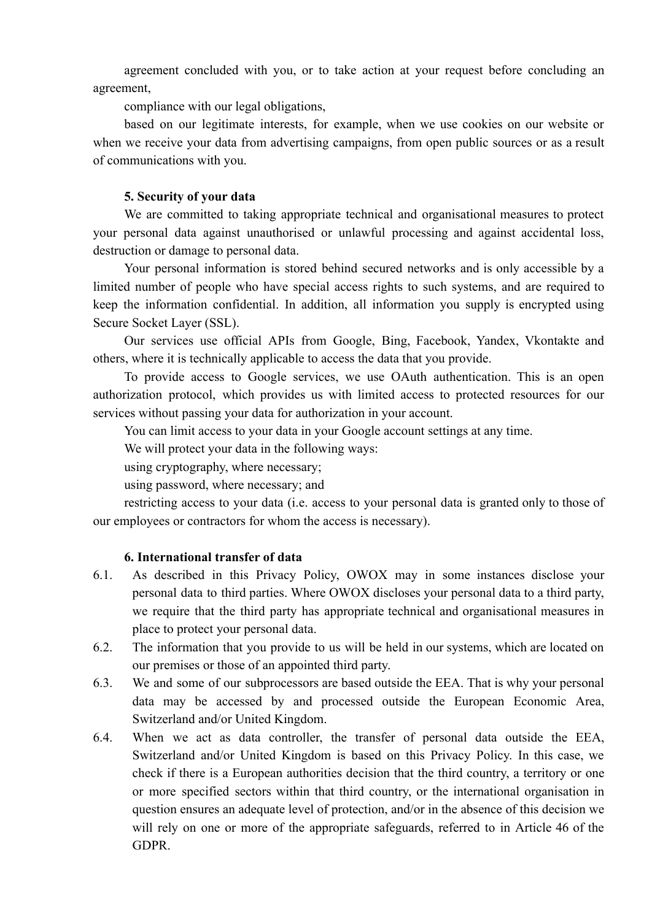agreement concluded with you, or to take action at your request before concluding an agreement,

compliance with our legal obligations,

based on our legitimate interests, for example, when we use cookies on our website or when we receive your data from advertising campaigns, from open public sources or as a result of communications with you.

# **5. Security of your data**

We are committed to taking appropriate technical and organisational measures to protect your personal data against unauthorised or unlawful processing and against accidental loss, destruction or damage to personal data.

Your personal information is stored behind secured networks and is only accessible by a limited number of people who have special access rights to such systems, and are required to keep the information confidential. In addition, all information you supply is encrypted using Secure Socket Layer (SSL).

Our services use official APIs from Google, Bing, Facebook, Yandex, Vkontakte and others, where it is technically applicable to access the data that you provide.

To provide access to Google services, we use OAuth authentication. This is an open authorization protocol, which provides us with limited access to protected resources for our services without passing your data for authorization in your account.

You can limit access to your data in your Google account settings at any time.

We will protect your data in the following ways:

using cryptography, where necessary;

using password, where necessary; and

restricting access to your data (i.e. access to your personal data is granted only to those of our employees or contractors for whom the access is necessary).

## **6. International transfer of data**

- 6.1. As described in this Privacy Policy, OWOX may in some instances disclose your personal data to third parties. Where OWOX discloses your personal data to a third party, we require that the third party has appropriate technical and organisational measures in place to protect your personal data.
- 6.2. The information that you provide to us will be held in our systems, which are located on our premises or those of an appointed third party.
- 6.3. We and some of our subprocessors are based outside the EEA. That is why your personal data may be accessed by and processed outside the European Economic Area, Switzerland and/or United Kingdom.
- 6.4. When we act as data controller, the transfer of personal data outside the EEA, Switzerland and/or United Kingdom is based on this Privacy Policy. In this case, we check if there is a European authorities decision that the third country, a territory or one or more specified sectors within that third country, or the international organisation in question ensures an adequate level of protection, and/or in the absence of this decision we will rely on one or more of the appropriate safeguards, referred to in Article 46 of the GDPR.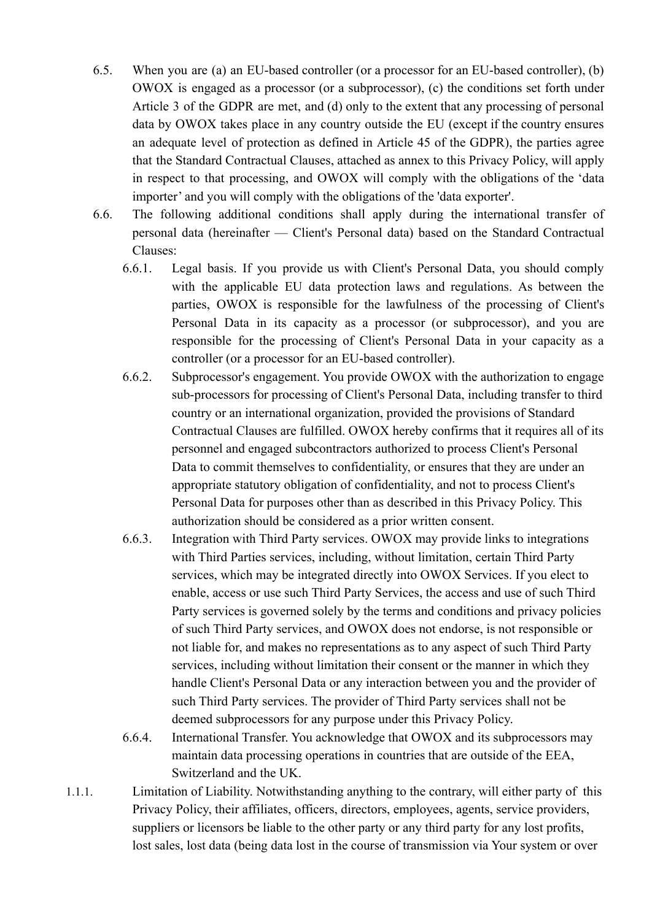- 6.5. When you are (a) an EU-based controller (or a processor for an EU-based controller), (b) OWOX is engaged as a processor (or a subprocessor), (c) the conditions set forth under Article 3 of the GDPR are met, and (d) only to the extent that any processing of personal data by OWOX takes place in any country outside the EU (except if the country ensures an adequate level of protection as defined in Article 45 of the GDPR), the parties agree that the Standard Contractual Clauses, attached as annex to this Privacy Policy, will apply in respect to that processing, and OWOX will comply with the obligations of the 'data importer' and you will comply with the obligations of the 'data exporter'.
- 6.6. The following additional conditions shall apply during the international transfer of personal data (hereinafter — Client's Personal data) based on the Standard Contractual Clauses:
	- 6.6.1. Legal basis. If you provide us with Client's Personal Data, you should comply with the applicable EU data protection laws and regulations. As between the parties, OWOX is responsible for the lawfulness of the processing of Client's Personal Data in its capacity as a processor (or subprocessor), and you are responsible for the processing of Client's Personal Data in your capacity as a controller (or a processor for an EU-based controller).
	- 6.6.2. Subprocessor's engagement. You provide OWOX with the authorization to engage sub-processors for processing of Client's Personal Data, including transfer to third country or an international organization, provided the provisions of Standard Contractual Clauses are fulfilled. OWOX hereby confirms that it requires all of its personnel and engaged subcontractors authorized to process Client's Personal Data to commit themselves to confidentiality, or ensures that they are under an appropriate statutory obligation of confidentiality, and not to process Client's Personal Data for purposes other than as described in this Privacy Policy. This authorization should be considered as a prior written consent.
	- 6.6.3. Integration with Third Party services. OWOX may provide links to integrations with Third Parties services, including, without limitation, certain Third Party services, which may be integrated directly into OWOX Services. If you elect to enable, access or use such Third Party Services, the access and use of such Third Party services is governed solely by the terms and conditions and privacy policies of such Third Party services, and OWOX does not endorse, is not responsible or not liable for, and makes no representations as to any aspect of such Third Party services, including without limitation their consent or the manner in which they handle Client's Personal Data or any interaction between you and the provider of such Third Party services. The provider of Third Party services shall not be deemed subprocessors for any purpose under this Privacy Policy.
	- 6.6.4. International Transfer. You acknowledge that OWOX and its subprocessors may maintain data processing operations in countries that are outside of the EEA, Switzerland and the UK.
- 1.1.1. Limitation of Liability. Notwithstanding anything to the contrary, will either party of this Privacy Policy, their affiliates, officers, directors, employees, agents, service providers, suppliers or licensors be liable to the other party or any third party for any lost profits, lost sales, lost data (being data lost in the course of transmission via Your system or over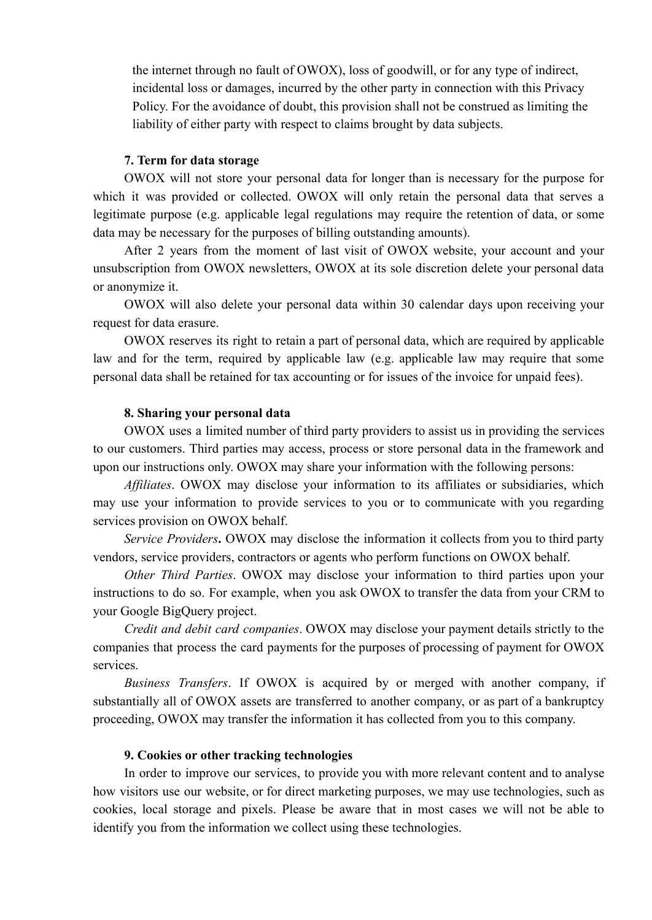the internet through no fault of OWOX), loss of goodwill, or for any type of indirect, incidental loss or damages, incurred by the other party in connection with this Privacy Policy. For the avoidance of doubt, this provision shall not be construed as limiting the liability of either party with respect to claims brought by data subjects.

## **7. Term for data storage**

OWOX will not store your personal data for longer than is necessary for the purpose for which it was provided or collected. OWOX will only retain the personal data that serves a legitimate purpose (e.g. applicable legal regulations may require the retention of data, or some data may be necessary for the purposes of billing outstanding amounts).

After 2 years from the moment of last visit of OWOX website, your account and your unsubscription from OWOX newsletters, OWOX at its sole discretion delete your personal data or anonymize it.

OWOX will also delete your personal data within 30 calendar days upon receiving your request for data erasure.

OWOX reserves its right to retain a part of personal data, which are required by applicable law and for the term, required by applicable law (e.g. applicable law may require that some personal data shall be retained for tax accounting or for issues of the invoice for unpaid fees).

## **8. Sharing your personal data**

OWOX uses a limited number of third party providers to assist us in providing the services to our customers. Third parties may access, process or store personal data in the framework and upon our instructions only. OWOX may share your information with the following persons:

*Affiliates*. OWOX may disclose your information to its affiliates or subsidiaries, which may use your information to provide services to you or to communicate with you regarding services provision on OWOX behalf.

*Service Providers***.** OWOX may disclose the information it collects from you to third party vendors, service providers, contractors or agents who perform functions on OWOX behalf.

*Other Third Parties*. OWOX may disclose your information to third parties upon your instructions to do so. For example, when you ask OWOX to transfer the data from your CRM to your Google BigQuery project.

*Credit and debit card companies*. OWOX may disclose your payment details strictly to the companies that process the card payments for the purposes of processing of payment for OWOX services.

*Business Transfers*. If OWOX is acquired by or merged with another company, if substantially all of OWOX assets are transferred to another company, or as part of a bankruptcy proceeding, OWOX may transfer the information it has collected from you to this company.

## **9. Cookies or other tracking technologies**

In order to improve our services, to provide you with more relevant content and to analyse how visitors use our website, or for direct marketing purposes, we may use technologies, such as cookies, local storage and pixels. Please be aware that in most cases we will not be able to identify you from the information we collect using these technologies.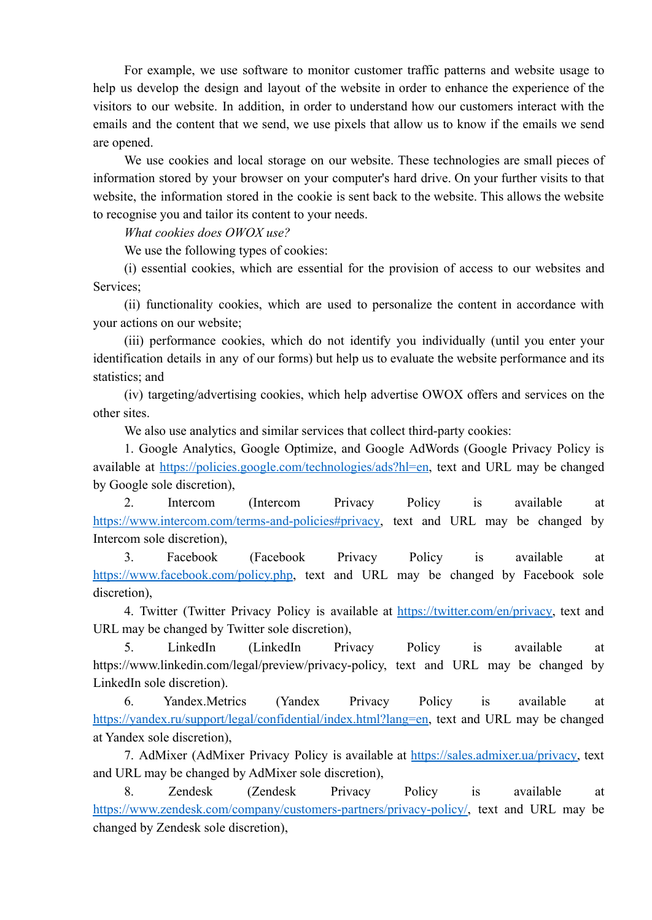For example, we use software to monitor customer traffic patterns and website usage to help us develop the design and layout of the website in order to enhance the experience of the visitors to our website. In addition, in order to understand how our customers interact with the emails and the content that we send, we use pixels that allow us to know if the emails we send are opened.

We use cookies and local storage on our website. These technologies are small pieces of information stored by your browser on your computer's hard drive. On your further visits to that website, the information stored in the cookie is sent back to the website. This allows the website to recognise you and tailor its content to your needs.

*What cookies does OWOX use?*

We use the following types of cookies:

(i) essential cookies, which are essential for the provision of access to our websites and Services;

(ii) functionality cookies, which are used to personalize the content in accordance with your actions on our website;

(iii) performance cookies, which do not identify you individually (until you enter your identification details in any of our forms) but help us to evaluate the website performance and its statistics; and

(iv) targeting/advertising cookies, which help advertise OWOX offers and services on the other sites.

We also use analytics and similar services that collect third-party cookies:

1. Google Analytics, Google Optimize, and Google AdWords (Google Privacy Policy is available at <https://policies.google.com/technologies/ads?hl=en>, text and URL may be changed by Google sole discretion),

2. Intercom (Intercom Privacy Policy is available at [https://www.intercom.com/terms-and-policies#privacy,](https://www.intercom.com/terms-and-policies#privacy) text and URL may be changed by Intercom sole discretion),

3. Facebook (Facebook Privacy Policy is available at [https://www.facebook.com/policy.php,](https://www.facebook.com/policy.php) text and URL may be changed by Facebook sole discretion),

4. Twitter (Twitter Privacy Policy is available at [https://twitter.com/en/privacy,](https://twitter.com/en/privacy) text and URL may be changed by Twitter sole discretion),

5. LinkedIn (LinkedIn Privacy Policy is available at https://www.linkedin.com/legal/preview/privacy-policy, text and URL may be changed by LinkedIn sole discretion).

6. Yandex.Metrics (Yandex Privacy Policy is available at [https://yandex.ru/support/legal/confidential/index.html?lang=en,](https://yandex.ru/support/legal/confidential/index.html?lang=en) text and URL may be changed at Yandex sole discretion),

7. AdMixer (AdMixer Privacy Policy is available at [https://sales.admixer.ua/privacy,](https://sales.admixer.ua/privacy) text and URL may be changed by AdMixer sole discretion),

8. Zendesk (Zendesk Privacy Policy is available at [https://www.zendesk.com/company/customers-partners/privacy-policy/,](https://www.zendesk.com/company/customers-partners/privacy-policy/) text and URL may be changed by Zendesk sole discretion),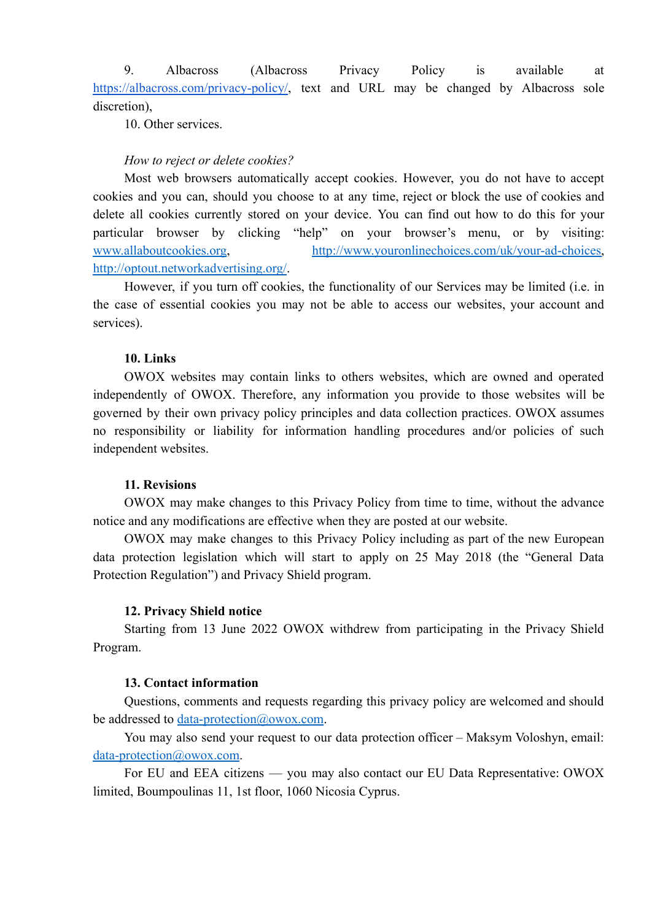9. Albacross (Albacross Privacy Policy is available at <https://albacross.com/privacy-policy/>, text and URL may be changed by Albacross sole discretion),

10. Other services.

# *How to reject or delete cookies?*

Most web browsers automatically accept cookies. However, you do not have to accept cookies and you can, should you choose to at any time, reject or block the use of cookies and delete all cookies currently stored on your device. You can find out how to do this for your particular browser by clicking "help" on your browser's menu, or by visiting: [www.allaboutcookies.org](http://www.allaboutcookies.org), [http://www.youronlinechoices.com/uk/your-ad-choices,](http://www.youronlinechoices.com/uk/your-ad-choices) <http://optout.networkadvertising.org/>.

However, if you turn off cookies, the functionality of our Services may be limited (i.e. in the case of essential cookies you may not be able to access our websites, your account and services).

## **10. Links**

OWOX websites may contain links to others websites, which are owned and operated independently of OWOX. Therefore, any information you provide to those websites will be governed by their own privacy policy principles and data collection practices. OWOX assumes no responsibility or liability for information handling procedures and/or policies of such independent websites.

## **11. Revisions**

OWOX may make changes to this Privacy Policy from time to time, without the advance notice and any modifications are effective when they are posted at our website.

OWOX may make changes to this Privacy Policy including as part of the new European data protection legislation which will start to apply on 25 May 2018 (the "General Data Protection Regulation") and Privacy Shield program.

## **12. Privacy Shield notice**

Starting from 13 June 2022 OWOX withdrew from participating in the Privacy Shield Program.

## **13. Contact information**

Questions, comments and requests regarding this privacy policy are welcomed and should be addressed to [data-protection@owox.com](mailto:data.protection@owox.com).

You may also send your request to our data protection officer – Maksym Voloshyn, email: [data-protection@owox.com](mailto:data-protection@owox.com).

For EU and EEA citizens — you may also contact our EU Data Representative: OWOX limited, Boumpoulinas 11, 1st floor, 1060 Nicosia Cyprus.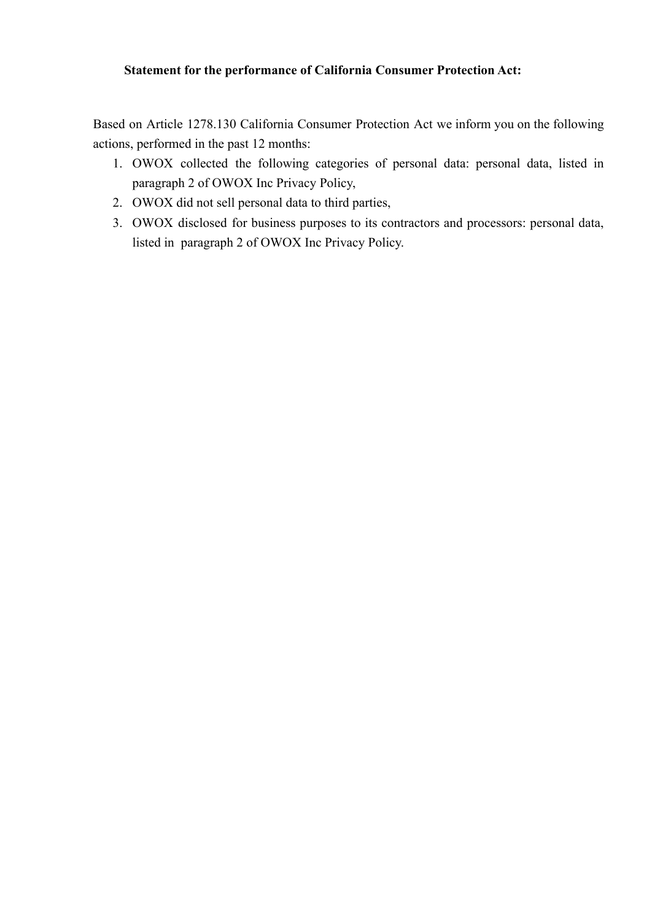# **Statement for the performance of California Consumer Protection Act:**

Based on Article 1278.130 California Consumer Protection Act we inform you on the following actions, performed in the past 12 months:

- 1. OWOX collected the following categories of personal data: personal data, listed in paragraph 2 of OWOX Inc Privacy Policy,
- 2. OWOX did not sell personal data to third parties,
- 3. OWOX disclosed for business purposes to its contractors and processors: personal data, listed in paragraph 2 of OWOX Inc Privacy Policy.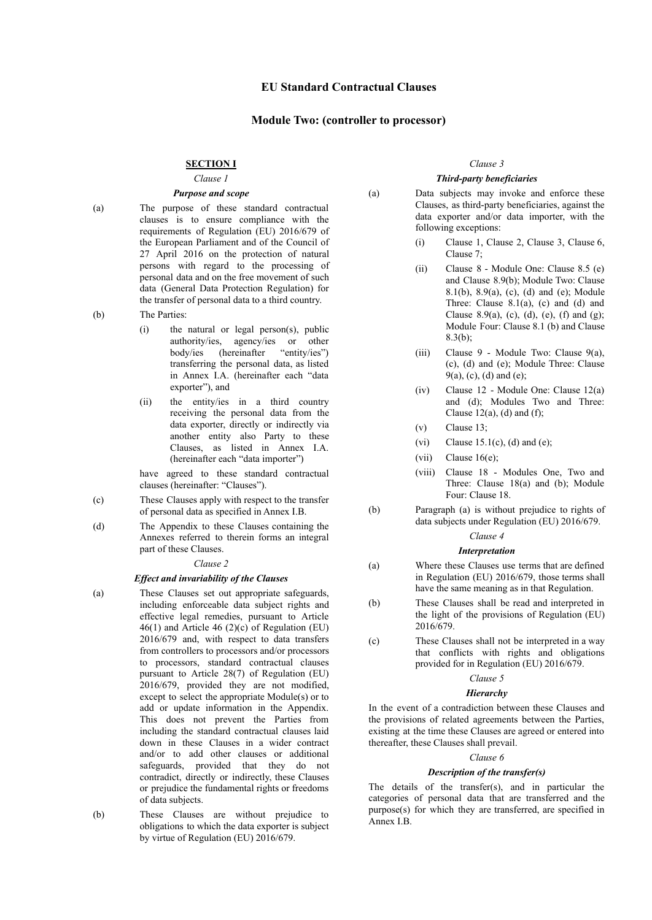### **Module Two: (controller to processor)**

### **SECTION I**

#### *Clause 1*

#### *Purpose and scope*

- (a) The purpose of these standard contractual clauses is to ensure compliance with the requirements of Regulation (EU) 2016/679 of the European Parliament and of the Council of 27 April 2016 on the protection of natural persons with regard to the processing of personal data and on the free movement of such data (General Data Protection Regulation) for the transfer of personal data to a third country.
- (b) The Parties:
	- (i) the natural or legal person(s), public authority/ies, agency/ies or other body/ies (hereinafter "entity/ies") transferring the personal data, as listed in Annex I.A. (hereinafter each "data exporter"), and
	- (ii) the entity/ies in a third country receiving the personal data from the data exporter, directly or indirectly via another entity also Party to these Clauses, as listed in Annex I.A. (hereinafter each "data importer")

have agreed to these standard contractual clauses (hereinafter: "Clauses").

- (c) These Clauses apply with respect to the transfer of personal data as specified in Annex I.B.
- (d) The Appendix to these Clauses containing the Annexes referred to therein forms an integral part of these Clauses.

#### *Clause 2*

#### *Effect and invariability of the Clauses*

- (a) These Clauses set out appropriate safeguards, including enforceable data subject rights and effective legal remedies, pursuant to Article 46(1) and Article 46 (2)(c) of Regulation (EU) 2016/679 and, with respect to data transfers from controllers to processors and/or processors to processors, standard contractual clauses pursuant to Article 28(7) of Regulation (EU) 2016/679, provided they are not modified, except to select the appropriate Module(s) or to add or update information in the Appendix. This does not prevent the Parties from including the standard contractual clauses laid down in these Clauses in a wider contract and/or to add other clauses or additional safeguards, provided that they do not contradict, directly or indirectly, these Clauses or prejudice the fundamental rights or freedoms of data subjects.
- (b) These Clauses are without prejudice to obligations to which the data exporter is subject by virtue of Regulation (EU) 2016/679.

### *Clause 3*

### *Third-party beneficiaries*

(a) Data subjects may invoke and enforce these Clauses, as third-party beneficiaries, against the data exporter and/or data importer, with the following exceptions:

- (i) Clause 1, Clause 2, Clause 3, Clause 6, Clause 7;
- (ii) Clause 8 Module One: Clause 8.5 (e) and Clause 8.9(b); Module Two: Clause 8.1(b), 8.9(a), (c), (d) and (e); Module Three: Clause 8.1(a), (c) and (d) and Clause 8.9(a), (c), (d), (e), (f) and (g); Module Four: Clause 8.1 (b) and Clause 8.3(b);
- (iii) Clause 9 Module Two: Clause 9(a), (c), (d) and (e); Module Three: Clause  $9(a)$ , (c), (d) and (e);
- (iv) Clause 12 Module One: Clause 12(a) and (d); Modules Two and Three: Clause  $12(a)$ , (d) and (f);
- (v) Clause 13;
- (vi) Clause 15.1(c), (d) and (e);
- (vii) Clause 16(e);
- (viii) Clause 18 Modules One, Two and Three: Clause 18(a) and (b); Module Four: Clause 18.
- (b) Paragraph (a) is without prejudice to rights of data subjects under Regulation (EU) 2016/679.

### *Clause 4*

#### *Interpretation*

- (a) Where these Clauses use terms that are defined in Regulation (EU) 2016/679, those terms shall have the same meaning as in that Regulation.
- (b) These Clauses shall be read and interpreted in the light of the provisions of Regulation (EU) 2016/679.
- (c) These Clauses shall not be interpreted in a way that conflicts with rights and obligations provided for in Regulation (EU) 2016/679.

### *Clause 5*

#### *Hierarchy*

In the event of a contradiction between these Clauses and the provisions of related agreements between the Parties, existing at the time these Clauses are agreed or entered into thereafter, these Clauses shall prevail.

#### *Clause 6*

### *Description of the transfer(s)*

The details of the transfer(s), and in particular the categories of personal data that are transferred and the purpose(s) for which they are transferred, are specified in Annex I.B.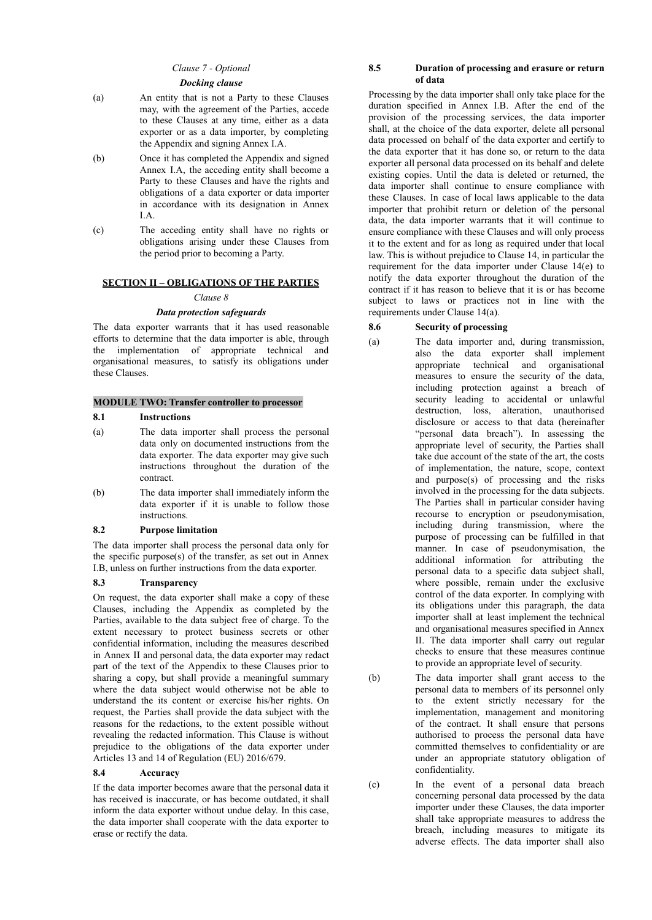### *Clause 7 - Optional*

#### *Docking clause*

- (a) An entity that is not a Party to these Clauses may, with the agreement of the Parties, accede to these Clauses at any time, either as a data exporter or as a data importer, by completing the Appendix and signing Annex I.A.
- (b) Once it has completed the Appendix and signed Annex I.A, the acceding entity shall become a Party to these Clauses and have the rights and obligations of a data exporter or data importer in accordance with its designation in Annex I.A.
- (c) The acceding entity shall have no rights or obligations arising under these Clauses from the period prior to becoming a Party.

### **SECTION II – OBLIGATIONS OF THE PARTIES**

#### *Clause 8*

### *Data protection safeguards*

The data exporter warrants that it has used reasonable efforts to determine that the data importer is able, through the implementation of appropriate technical and organisational measures, to satisfy its obligations under these Clauses.

### **MODULE TWO: Transfer controller to processor**

### **8.1 Instructions**

- (a) The data importer shall process the personal data only on documented instructions from the data exporter. The data exporter may give such instructions throughout the duration of the contract.
- (b) The data importer shall immediately inform the data exporter if it is unable to follow those instructions.

### **8.2 Purpose limitation**

The data importer shall process the personal data only for the specific purpose(s) of the transfer, as set out in Annex I.B, unless on further instructions from the data exporter.

### **8.3 Transparency**

On request, the data exporter shall make a copy of these Clauses, including the Appendix as completed by the Parties, available to the data subject free of charge. To the extent necessary to protect business secrets or other confidential information, including the measures described in Annex II and personal data, the data exporter may redact part of the text of the Appendix to these Clauses prior to sharing a copy, but shall provide a meaningful summary where the data subject would otherwise not be able to understand the its content or exercise his/her rights. On request, the Parties shall provide the data subject with the reasons for the redactions, to the extent possible without revealing the redacted information. This Clause is without prejudice to the obligations of the data exporter under Articles 13 and 14 of Regulation (EU) 2016/679.

### **8.4 Accuracy**

If the data importer becomes aware that the personal data it has received is inaccurate, or has become outdated, it shall inform the data exporter without undue delay. In this case, the data importer shall cooperate with the data exporter to erase or rectify the data.

#### **8.5 Duration of processing and erasure or return of data**

Processing by the data importer shall only take place for the duration specified in Annex I.B. After the end of the provision of the processing services, the data importer shall, at the choice of the data exporter, delete all personal data processed on behalf of the data exporter and certify to the data exporter that it has done so, or return to the data exporter all personal data processed on its behalf and delete existing copies. Until the data is deleted or returned, the data importer shall continue to ensure compliance with these Clauses. In case of local laws applicable to the data importer that prohibit return or deletion of the personal data, the data importer warrants that it will continue to ensure compliance with these Clauses and will only process it to the extent and for as long as required under that local law. This is without prejudice to Clause 14, in particular the requirement for the data importer under Clause 14(e) to notify the data exporter throughout the duration of the contract if it has reason to believe that it is or has become subject to laws or practices not in line with the requirements under Clause 14(a).

### **8.6 Security of processing**

- (a) The data importer and, during transmission, also the data exporter shall implement appropriate technical and organisational measures to ensure the security of the data, including protection against a breach of security leading to accidental or unlawful destruction, loss, alteration, unauthorised disclosure or access to that data (hereinafter "personal data breach"). In assessing the appropriate level of security, the Parties shall take due account of the state of the art, the costs of implementation, the nature, scope, context and purpose(s) of processing and the risks involved in the processing for the data subjects. The Parties shall in particular consider having recourse to encryption or pseudonymisation, including during transmission, where the purpose of processing can be fulfilled in that manner. In case of pseudonymisation, the additional information for attributing the personal data to a specific data subject shall, where possible, remain under the exclusive control of the data exporter. In complying with its obligations under this paragraph, the data importer shall at least implement the technical and organisational measures specified in Annex II. The data importer shall carry out regular checks to ensure that these measures continue to provide an appropriate level of security.
- (b) The data importer shall grant access to the personal data to members of its personnel only to the extent strictly necessary for the implementation, management and monitoring of the contract. It shall ensure that persons authorised to process the personal data have committed themselves to confidentiality or are under an appropriate statutory obligation of confidentiality.
- (c) In the event of a personal data breach concerning personal data processed by the data importer under these Clauses, the data importer shall take appropriate measures to address the breach, including measures to mitigate its adverse effects. The data importer shall also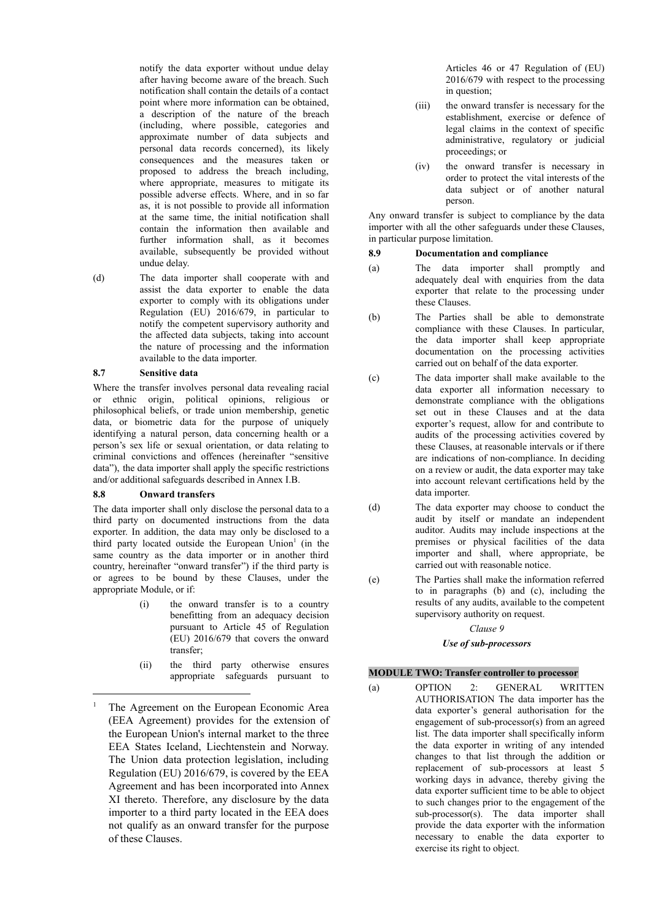notify the data exporter without undue delay after having become aware of the breach. Such notification shall contain the details of a contact point where more information can be obtained, a description of the nature of the breach (including, where possible, categories and approximate number of data subjects and personal data records concerned), its likely consequences and the measures taken or proposed to address the breach including, where appropriate, measures to mitigate its possible adverse effects. Where, and in so far as, it is not possible to provide all information at the same time, the initial notification shall contain the information then available and further information shall, as it becomes available, subsequently be provided without undue delay.

(d) The data importer shall cooperate with and assist the data exporter to enable the data exporter to comply with its obligations under Regulation (EU) 2016/679, in particular to notify the competent supervisory authority and the affected data subjects, taking into account the nature of processing and the information available to the data importer.

#### **8.7 Sensitive data**

Where the transfer involves personal data revealing racial or ethnic origin, political opinions, religious or philosophical beliefs, or trade union membership, genetic data, or biometric data for the purpose of uniquely identifying a natural person, data concerning health or a person's sex life or sexual orientation, or data relating to criminal convictions and offences (hereinafter "sensitive data"), the data importer shall apply the specific restrictions and/or additional safeguards described in Annex I.B.

### **8.8 Onward transfers**

The data importer shall only disclose the personal data to a third party on documented instructions from the data exporter. In addition, the data may only be disclosed to a third party located outside the European Union<sup>1</sup> (in the same country as the data importer or in another third country, hereinafter "onward transfer") if the third party is or agrees to be bound by these Clauses, under the appropriate Module, or if:

- (i) the onward transfer is to a country benefitting from an adequacy decision pursuant to Article 45 of Regulation (EU) 2016/679 that covers the onward transfer;
- (ii) the third party otherwise ensures appropriate safeguards pursuant to

Articles 46 or 47 Regulation of (EU) 2016/679 with respect to the processing in question;

- (iii) the onward transfer is necessary for the establishment, exercise or defence of legal claims in the context of specific administrative, regulatory or judicial proceedings; or
- (iv) the onward transfer is necessary in order to protect the vital interests of the data subject or of another natural person.

Any onward transfer is subject to compliance by the data importer with all the other safeguards under these Clauses, in particular purpose limitation.

### **8.9 Documentation and compliance**

- (a) The data importer shall promptly and adequately deal with enquiries from the data exporter that relate to the processing under these Clauses.
- (b) The Parties shall be able to demonstrate compliance with these Clauses. In particular, the data importer shall keep appropriate documentation on the processing activities carried out on behalf of the data exporter.
- (c) The data importer shall make available to the data exporter all information necessary to demonstrate compliance with the obligations set out in these Clauses and at the data exporter's request, allow for and contribute to audits of the processing activities covered by these Clauses, at reasonable intervals or if there are indications of non-compliance. In deciding on a review or audit, the data exporter may take into account relevant certifications held by the data importer.
- (d) The data exporter may choose to conduct the audit by itself or mandate an independent auditor. Audits may include inspections at the premises or physical facilities of the data importer and shall, where appropriate, be carried out with reasonable notice.
- (e) The Parties shall make the information referred to in paragraphs (b) and (c), including the results of any audits, available to the competent supervisory authority on request.

### *Clause 9 Use of sub-processors*

### **MODULE TWO: Transfer controller to processor**

(a) OPTION 2: GENERAL WRITTEN AUTHORISATION The data importer has the data exporter's general authorisation for the engagement of sub-processor(s) from an agreed list. The data importer shall specifically inform the data exporter in writing of any intended changes to that list through the addition or replacement of sub-processors at least 5 working days in advance, thereby giving the data exporter sufficient time to be able to object to such changes prior to the engagement of the sub-processor(s). The data importer shall provide the data exporter with the information necessary to enable the data exporter to exercise its right to object.

The Agreement on the European Economic Area (EEA Agreement) provides for the extension of the European Union's internal market to the three EEA States Iceland, Liechtenstein and Norway. The Union data protection legislation, including Regulation (EU) 2016/679, is covered by the EEA Agreement and has been incorporated into Annex XI thereto. Therefore, any disclosure by the data importer to a third party located in the EEA does not qualify as an onward transfer for the purpose of these Clauses.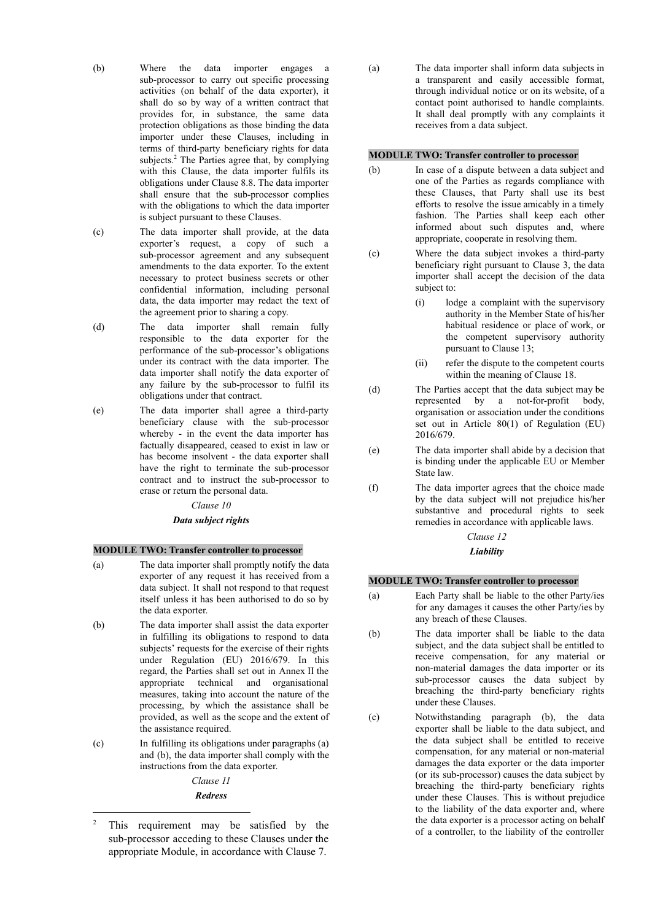- (b) Where the data importer engages a sub-processor to carry out specific processing activities (on behalf of the data exporter), it shall do so by way of a written contract that provides for, in substance, the same data protection obligations as those binding the data importer under these Clauses, including in terms of third-party beneficiary rights for data subjects.<sup>2</sup> The Parties agree that, by complying with this Clause, the data importer fulfils its obligations under Clause 8.8. The data importer shall ensure that the sub-processor complies with the obligations to which the data importer is subject pursuant to these Clauses.
- (c) The data importer shall provide, at the data exporter's request, a copy of such a sub-processor agreement and any subsequent amendments to the data exporter. To the extent necessary to protect business secrets or other confidential information, including personal data, the data importer may redact the text of the agreement prior to sharing a copy.
- (d) The data importer shall remain fully responsible to the data exporter for the performance of the sub-processor's obligations under its contract with the data importer. The data importer shall notify the data exporter of any failure by the sub-processor to fulfil its obligations under that contract.
- (e) The data importer shall agree a third-party beneficiary clause with the sub-processor whereby - in the event the data importer has factually disappeared, ceased to exist in law or has become insolvent - the data exporter shall have the right to terminate the sub-processor contract and to instruct the sub-processor to erase or return the personal data.

#### *Clause 10*

#### *Data subject rights*

#### **MODULE TWO: Transfer controller to processor**

- (a) The data importer shall promptly notify the data exporter of any request it has received from a data subject. It shall not respond to that request itself unless it has been authorised to do so by the data exporter.
- (b) The data importer shall assist the data exporter in fulfilling its obligations to respond to data subjects' requests for the exercise of their rights under Regulation (EU) 2016/679. In this regard, the Parties shall set out in Annex II the appropriate technical and organisational measures, taking into account the nature of the processing, by which the assistance shall be provided, as well as the scope and the extent of the assistance required.
- (c) In fulfilling its obligations under paragraphs (a) and (b), the data importer shall comply with the instructions from the data exporter.

#### *Clause 11*

#### *Redress*

<sup>2</sup> This requirement may be satisfied by the sub-processor acceding to these Clauses under the appropriate Module, in accordance with Clause 7.

(a) The data importer shall inform data subjects in a transparent and easily accessible format, through individual notice or on its website, of a contact point authorised to handle complaints. It shall deal promptly with any complaints it receives from a data subject.

### **MODULE TWO: Transfer controller to processor**

- (b) In case of a dispute between a data subject and one of the Parties as regards compliance with these Clauses, that Party shall use its best efforts to resolve the issue amicably in a timely fashion. The Parties shall keep each other informed about such disputes and, where appropriate, cooperate in resolving them.
- (c) Where the data subject invokes a third-party beneficiary right pursuant to Clause 3, the data importer shall accept the decision of the data subject to:
	- (i) lodge a complaint with the supervisory authority in the Member State of his/her habitual residence or place of work, or the competent supervisory authority pursuant to Clause 13;
	- (ii) refer the dispute to the competent courts within the meaning of Clause 18.
- (d) The Parties accept that the data subject may be represented by a not-for-profit body, organisation or association under the conditions set out in Article 80(1) of Regulation (EU) 2016/679.
- (e) The data importer shall abide by a decision that is binding under the applicable EU or Member State law.
- (f) The data importer agrees that the choice made by the data subject will not prejudice his/her substantive and procedural rights to seek remedies in accordance with applicable laws.

# *Clause 12*

## *Liability*

### **MODULE TWO: Transfer controller to processor**

- (a) Each Party shall be liable to the other Party/ies for any damages it causes the other Party/ies by any breach of these Clauses.
- (b) The data importer shall be liable to the data subject, and the data subject shall be entitled to receive compensation, for any material or non-material damages the data importer or its sub-processor causes the data subject by breaching the third-party beneficiary rights under these Clauses.
- (c) Notwithstanding paragraph (b), the data exporter shall be liable to the data subject, and the data subject shall be entitled to receive compensation, for any material or non-material damages the data exporter or the data importer (or its sub-processor) causes the data subject by breaching the third-party beneficiary rights under these Clauses. This is without prejudice to the liability of the data exporter and, where the data exporter is a processor acting on behalf of a controller, to the liability of the controller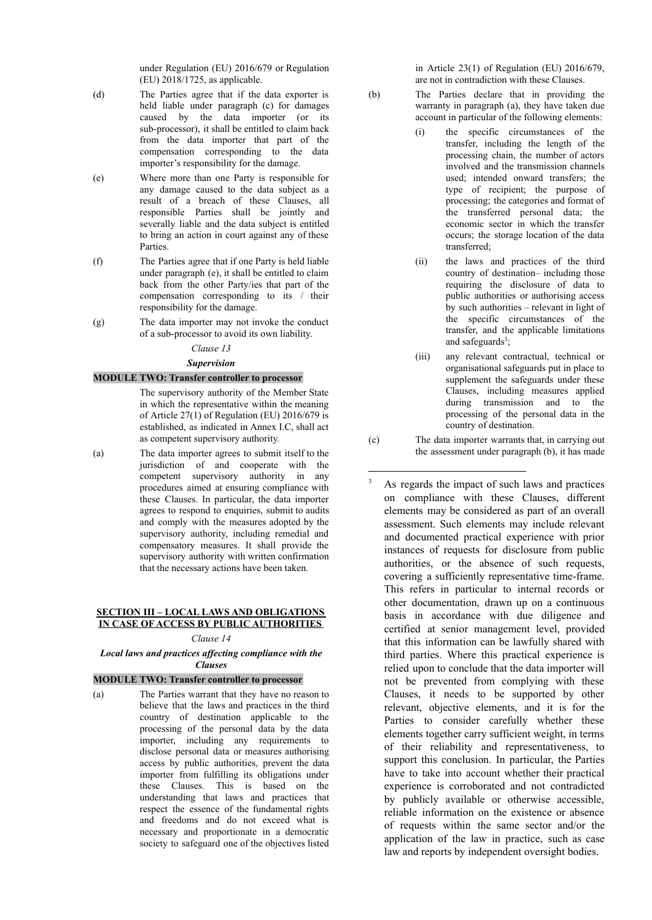under Regulation (EU) 2016/679 or Regulation (EU) 2018/1725, as applicable.

- (d) The Parties agree that if the data exporter is held liable under paragraph (c) for damages caused by the data importer (or its sub-processor), it shall be entitled to claim back from the data importer that part of the compensation corresponding to the data importer's responsibility for the damage.
- (e) Where more than one Party is responsible for any damage caused to the data subject as a result of a breach of these Clauses, all responsible Parties shall be jointly and severally liable and the data subject is entitled to bring an action in court against any of these Parties.
- (f) The Parties agree that if one Party is held liable under paragraph (e), it shall be entitled to claim back from the other Party/ies that part of the compensation corresponding to its / their responsibility for the damage.
- (g) The data importer may not invoke the conduct of a sub-processor to avoid its own liability.

### *Clause 13*

#### *Supervision*

#### **MODULE TWO: Transfer controller to processor**

The supervisory authority of the Member State in which the representative within the meaning of Article 27(1) of Regulation (EU) 2016/679 is established, as indicated in Annex I.C, shall act as competent supervisory authority.

(a) The data importer agrees to submit itself to the jurisdiction of and cooperate with the competent supervisory authority in any procedures aimed at ensuring compliance with these Clauses. In particular, the data importer agrees to respond to enquiries, submit to audits and comply with the measures adopted by the supervisory authority, including remedial and compensatory measures. It shall provide the supervisory authority with written confirmation that the necessary actions have been taken.

### **SECTION III – LOCAL LAWS AND OBLIGATIONS IN CASE OF ACCESS BY PUBLIC AUTHORITIES**

### *Clause 14*

### *Local laws and practices affecting compliance with the Clauses*

### **MODULE TWO: Transfer controller to processor**

(a) The Parties warrant that they have no reason to believe that the laws and practices in the third country of destination applicable to the processing of the personal data by the data importer, including any requirements to disclose personal data or measures authorising access by public authorities, prevent the data importer from fulfilling its obligations under these Clauses. This is based on the understanding that laws and practices that respect the essence of the fundamental rights and freedoms and do not exceed what is necessary and proportionate in a democratic society to safeguard one of the objectives listed in Article 23(1) of Regulation (EU) 2016/679, are not in contradiction with these Clauses.

- (b) The Parties declare that in providing the warranty in paragraph (a), they have taken due account in particular of the following elements:
	- (i) the specific circumstances of the transfer, including the length of the processing chain, the number of actors involved and the transmission channels used; intended onward transfers; the type of recipient; the purpose of processing; the categories and format of the transferred personal data; the economic sector in which the transfer occurs; the storage location of the data transferred;
	- (ii) the laws and practices of the third country of destination– including those requiring the disclosure of data to public authorities or authorising access by such authorities – relevant in light of the specific circumstances of the transfer, and the applicable limitations and safeguards<sup>3</sup>;
	- (iii) any relevant contractual, technical or organisational safeguards put in place to supplement the safeguards under these Clauses, including measures applied during transmission and to the processing of the personal data in the country of destination.
- (c) The data importer warrants that, in carrying out the assessment under paragraph (b), it has made

As regards the impact of such laws and practices on compliance with these Clauses, different elements may be considered as part of an overall assessment. Such elements may include relevant and documented practical experience with prior instances of requests for disclosure from public authorities, or the absence of such requests, covering a sufficiently representative time-frame. This refers in particular to internal records or other documentation, drawn up on a continuous basis in accordance with due diligence and certified at senior management level, provided that this information can be lawfully shared with third parties. Where this practical experience is relied upon to conclude that the data importer will not be prevented from complying with these Clauses, it needs to be supported by other relevant, objective elements, and it is for the Parties to consider carefully whether these elements together carry sufficient weight, in terms of their reliability and representativeness, to support this conclusion. In particular, the Parties have to take into account whether their practical experience is corroborated and not contradicted by publicly available or otherwise accessible, reliable information on the existence or absence of requests within the same sector and/or the application of the law in practice, such as case law and reports by independent oversight bodies.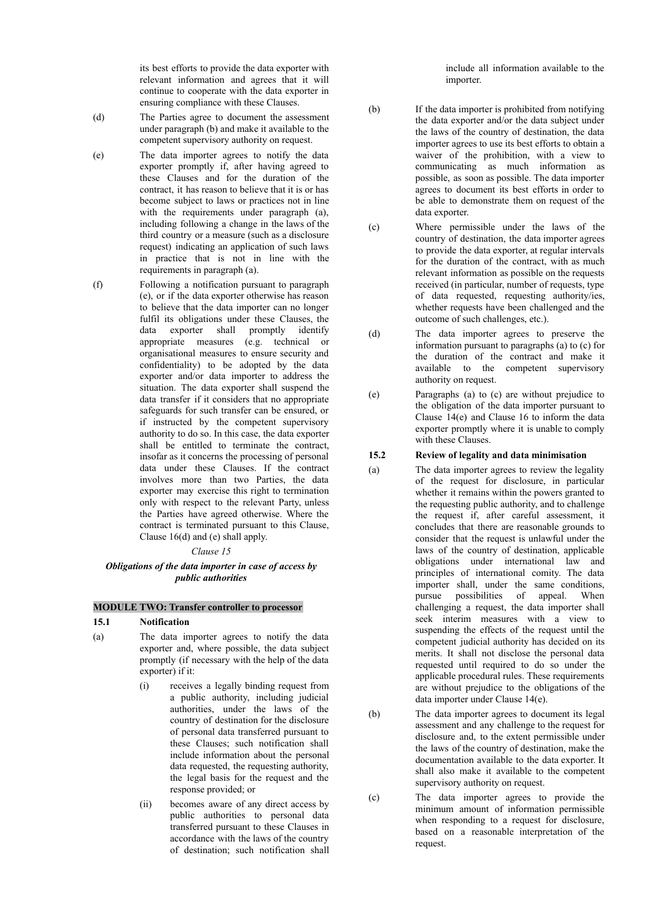its best efforts to provide the data exporter with relevant information and agrees that it will continue to cooperate with the data exporter in ensuring compliance with these Clauses.

- (d) The Parties agree to document the assessment under paragraph (b) and make it available to the competent supervisory authority on request.
- (e) The data importer agrees to notify the data exporter promptly if, after having agreed to these Clauses and for the duration of the contract, it has reason to believe that it is or has become subject to laws or practices not in line with the requirements under paragraph (a), including following a change in the laws of the third country or a measure (such as a disclosure request) indicating an application of such laws in practice that is not in line with the requirements in paragraph (a).
- (f) Following a notification pursuant to paragraph (e), or if the data exporter otherwise has reason to believe that the data importer can no longer fulfil its obligations under these Clauses, the data exporter shall promptly identify appropriate measures (e.g. technical or organisational measures to ensure security and confidentiality) to be adopted by the data exporter and/or data importer to address the situation. The data exporter shall suspend the data transfer if it considers that no appropriate safeguards for such transfer can be ensured, or if instructed by the competent supervisory authority to do so. In this case, the data exporter shall be entitled to terminate the contract, insofar as it concerns the processing of personal data under these Clauses. If the contract involves more than two Parties, the data exporter may exercise this right to termination only with respect to the relevant Party, unless the Parties have agreed otherwise. Where the contract is terminated pursuant to this Clause, Clause 16(d) and (e) shall apply.

#### *Clause 15*

#### *Obligations of the data importer in case of access by public authorities*

### **MODULE TWO: Transfer controller to processor**

#### **15.1 Notification**

- (a) The data importer agrees to notify the data exporter and, where possible, the data subject promptly (if necessary with the help of the data exporter) if it:
	- (i) receives a legally binding request from a public authority, including judicial authorities, under the laws of the country of destination for the disclosure of personal data transferred pursuant to these Clauses; such notification shall include information about the personal data requested, the requesting authority, the legal basis for the request and the response provided; or
	- (ii) becomes aware of any direct access by public authorities to personal data transferred pursuant to these Clauses in accordance with the laws of the country of destination; such notification shall

include all information available to the importer.

- (b) If the data importer is prohibited from notifying the data exporter and/or the data subject under the laws of the country of destination, the data importer agrees to use its best efforts to obtain a waiver of the prohibition, with a view to communicating as much information as possible, as soon as possible. The data importer agrees to document its best efforts in order to be able to demonstrate them on request of the data exporter.
- (c) Where permissible under the laws of the country of destination, the data importer agrees to provide the data exporter, at regular intervals for the duration of the contract, with as much relevant information as possible on the requests received (in particular, number of requests, type of data requested, requesting authority/ies, whether requests have been challenged and the outcome of such challenges, etc.).
- (d) The data importer agrees to preserve the information pursuant to paragraphs (a) to (c) for the duration of the contract and make it available to the competent supervisory authority on request.
- (e) Paragraphs (a) to (c) are without prejudice to the obligation of the data importer pursuant to Clause 14(e) and Clause 16 to inform the data exporter promptly where it is unable to comply with these Clauses.

#### **15.2 Review of legality and data minimisation**

- (a) The data importer agrees to review the legality of the request for disclosure, in particular whether it remains within the powers granted to the requesting public authority, and to challenge the request if, after careful assessment, it concludes that there are reasonable grounds to consider that the request is unlawful under the laws of the country of destination, applicable obligations under international law and principles of international comity. The data importer shall, under the same conditions,<br>pursue possibilities of appeal. When possibilities of appeal. When challenging a request, the data importer shall seek interim measures with a view to suspending the effects of the request until the competent judicial authority has decided on its merits. It shall not disclose the personal data requested until required to do so under the applicable procedural rules. These requirements are without prejudice to the obligations of the data importer under Clause 14(e).
- (b) The data importer agrees to document its legal assessment and any challenge to the request for disclosure and, to the extent permissible under the laws of the country of destination, make the documentation available to the data exporter. It shall also make it available to the competent supervisory authority on request.
- (c) The data importer agrees to provide the minimum amount of information permissible when responding to a request for disclosure. based on a reasonable interpretation of the request.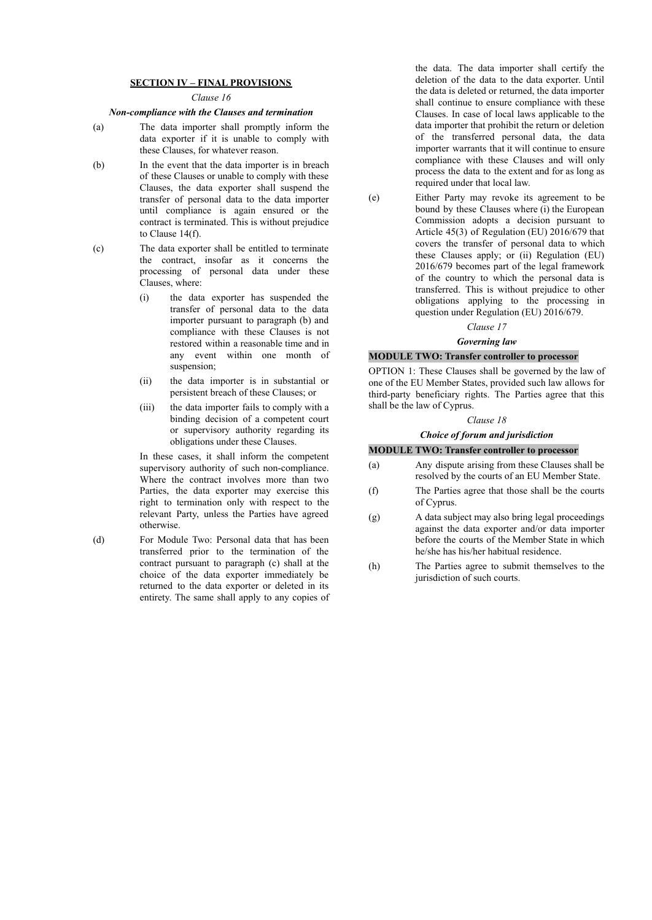### **SECTION IV – FINAL PROVISIONS**

#### *Clause 16*

### *Non-compliance with the Clauses and termination*

- (a) The data importer shall promptly inform the data exporter if it is unable to comply with these Clauses, for whatever reason.
- (b) In the event that the data importer is in breach of these Clauses or unable to comply with these Clauses, the data exporter shall suspend the transfer of personal data to the data importer until compliance is again ensured or the contract is terminated. This is without prejudice to Clause 14(f).
- (c) The data exporter shall be entitled to terminate the contract, insofar as it concerns the processing of personal data under these Clauses, where:
	- (i) the data exporter has suspended the transfer of personal data to the data importer pursuant to paragraph (b) and compliance with these Clauses is not restored within a reasonable time and in any event within one month of suspension;
	- (ii) the data importer is in substantial or persistent breach of these Clauses; or
	- (iii) the data importer fails to comply with a binding decision of a competent court or supervisory authority regarding its obligations under these Clauses.

In these cases, it shall inform the competent supervisory authority of such non-compliance. Where the contract involves more than two Parties, the data exporter may exercise this right to termination only with respect to the relevant Party, unless the Parties have agreed otherwise.

(d) For Module Two: Personal data that has been transferred prior to the termination of the contract pursuant to paragraph (c) shall at the choice of the data exporter immediately be returned to the data exporter or deleted in its entirety. The same shall apply to any copies of the data. The data importer shall certify the deletion of the data to the data exporter. Until the data is deleted or returned, the data importer shall continue to ensure compliance with these Clauses. In case of local laws applicable to the data importer that prohibit the return or deletion of the transferred personal data, the data importer warrants that it will continue to ensure compliance with these Clauses and will only process the data to the extent and for as long as required under that local law.

(e) Either Party may revoke its agreement to be bound by these Clauses where (i) the European Commission adopts a decision pursuant to Article 45(3) of Regulation (EU) 2016/679 that covers the transfer of personal data to which these Clauses apply; or (ii) Regulation (EU) 2016/679 becomes part of the legal framework of the country to which the personal data is transferred. This is without prejudice to other obligations applying to the processing in question under Regulation (EU) 2016/679.

#### *Clause 17*

### *Governing law*

#### **MODULE TWO: Transfer controller to processor**

OPTION 1: These Clauses shall be governed by the law of one of the EU Member States, provided such law allows for third-party beneficiary rights. The Parties agree that this shall be the law of Cyprus.

#### *Clause 18*

### *Choice of forum and jurisdiction*

#### **MODULE TWO: Transfer controller to processor**

- (a) Any dispute arising from these Clauses shall be resolved by the courts of an EU Member State.
- (f) The Parties agree that those shall be the courts of Cyprus.
- (g) A data subject may also bring legal proceedings against the data exporter and/or data importer before the courts of the Member State in which he/she has his/her habitual residence.
- (h) The Parties agree to submit themselves to the jurisdiction of such courts.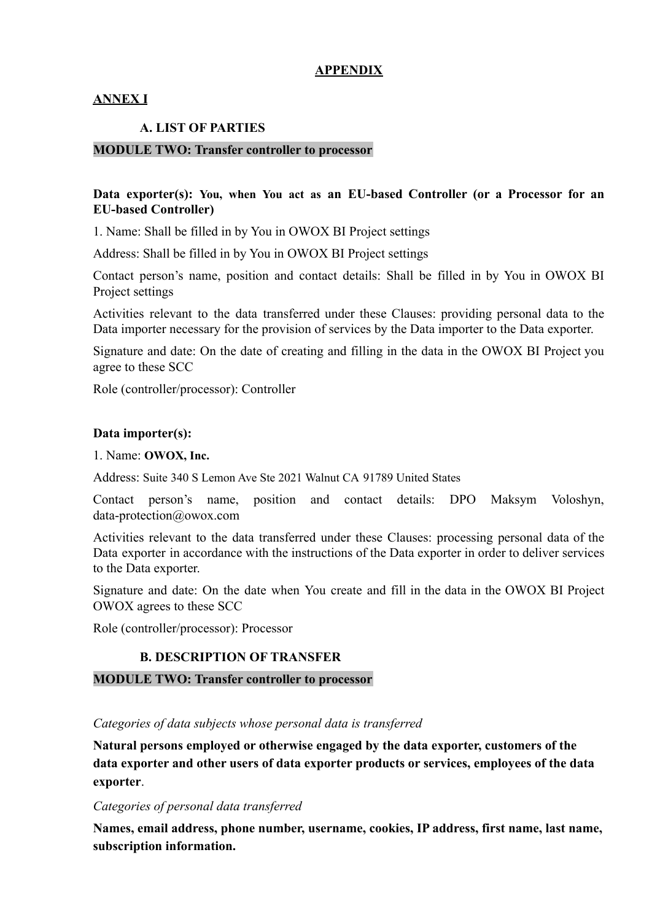# **APPENDIX**

# **ANNEX I**

# **A. LIST OF PARTIES**

# **MODULE TWO: Transfer controller to processor**

# **Data exporter(s): You, when You act as an EU-based Controller (or a Processor for an EU-based Controller)**

1. Name: Shall be filled in by You in OWOX BI Project settings

Address: Shall be filled in by You in OWOX BI Project settings

Contact person's name, position and contact details: Shall be filled in by You in OWOX BI Project settings

Activities relevant to the data transferred under these Clauses: providing personal data to the Data importer necessary for the provision of services by the Data importer to the Data exporter.

Signature and date: On the date of creating and filling in the data in the OWOX BI Project you agree to these SCC

Role (controller/processor): Controller

## **Data importer(s):**

1. Name: **OWOX, Inc.**

Address: Suite 340 S Lemon Ave Ste 2021 Walnut CA 91789 United States

Contact person's name, position and contact details: DPO Maksym Voloshyn, data-protection@owox.com

Activities relevant to the data transferred under these Clauses: processing personal data of the Data exporter in accordance with the instructions of the Data exporter in order to deliver services to the Data exporter.

Signature and date: On the date when You create and fill in the data in the OWOX BI Project OWOX agrees to these SCC

Role (controller/processor): Processor

# **B. DESCRIPTION OF TRANSFER**

# **MODULE TWO: Transfer controller to processor**

## *Categories of data subjects whose personal data is transferred*

**Natural persons employed or otherwise engaged by the data exporter, customers of the data exporter and other users of data exporter products or services, employees of the data exporter**.

## *Categories of personal data transferred*

**Names, email address, phone number, username, cookies, IP address, first name, last name, subscription information.**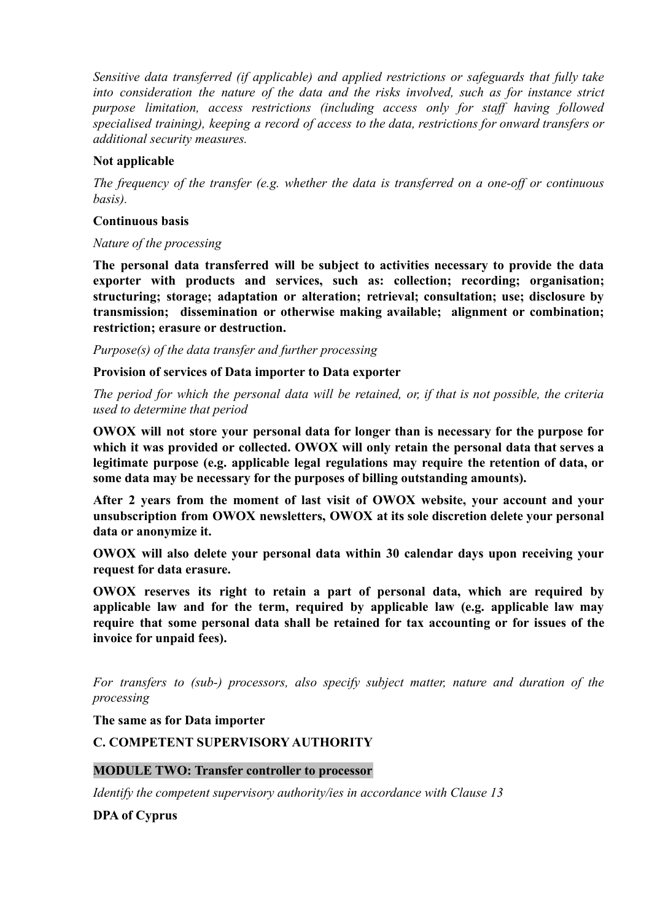*Sensitive data transferred (if applicable) and applied restrictions or safeguards that fully take into consideration the nature of the data and the risks involved, such as for instance strict purpose limitation, access restrictions (including access only for staff having followed specialised training), keeping a record of access to the data, restrictions for onward transfers or additional security measures.*

# **Not applicable**

*The frequency of the transfer (e.g. whether the data is transferred on a one-off or continuous basis).*

# **Continuous basis**

## *Nature of the processing*

**The personal data transferred will be subject to activities necessary to provide the data exporter with products and services, such as: collection; recording; organisation; structuring; storage; adaptation or alteration; retrieval; consultation; use; disclosure by transmission; dissemination or otherwise making available; alignment or combination; restriction; erasure or destruction.**

*Purpose(s) of the data transfer and further processing*

# **Provision of services of Data importer to Data exporter**

*The period for which the personal data will be retained, or, if that is not possible, the criteria used to determine that period*

**OWOX will not store your personal data for longer than is necessary for the purpose for which it was provided or collected. OWOX will only retain the personal data that serves a legitimate purpose (e.g. applicable legal regulations may require the retention of data, or some data may be necessary for the purposes of billing outstanding amounts).**

**After 2 years from the moment of last visit of OWOX website, your account and your unsubscription from OWOX newsletters, OWOX at its sole discretion delete your personal data or anonymize it.**

**OWOX will also delete your personal data within 30 calendar days upon receiving your request for data erasure.**

**OWOX reserves its right to retain a part of personal data, which are required by applicable law and for the term, required by applicable law (e.g. applicable law may require that some personal data shall be retained for tax accounting or for issues of the invoice for unpaid fees).**

*For transfers to (sub-) processors, also specify subject matter, nature and duration of the processing*

# **The same as for Data importer**

# **C. COMPETENT SUPERVISORY AUTHORITY**

## **MODULE TWO: Transfer controller to processor**

*Identify the competent supervisory authority/ies in accordance with Clause 13*

**DPA of Cyprus**